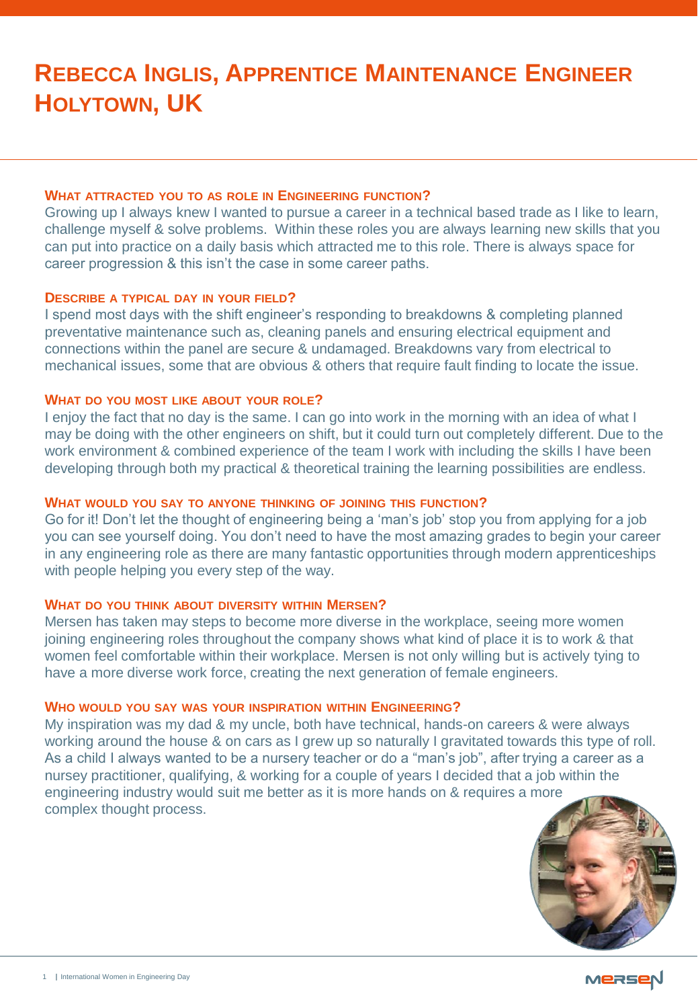# **REBECCA INGLIS, APPRENTICE MAINTENANCE ENGINEER HOLYTOWN, UK**

#### **WHAT ATTRACTED YOU TO AS ROLE IN ENGINEERING FUNCTION?**

Growing up I always knew I wanted to pursue a career in a technical based trade as I like to learn, challenge myself & solve problems. Within these roles you are always learning new skills that you can put into practice on a daily basis which attracted me to this role. There is always space for career progression & this isn't the case in some career paths.

## **DESCRIBE A TYPICAL DAY IN YOUR FIELD?**

I spend most days with the shift engineer's responding to breakdowns & completing planned preventative maintenance such as, cleaning panels and ensuring electrical equipment and connections within the panel are secure & undamaged. Breakdowns vary from electrical to mechanical issues, some that are obvious & others that require fault finding to locate the issue.

## **WHAT DO YOU MOST LIKE ABOUT YOUR ROLE?**

I enjoy the fact that no day is the same. I can go into work in the morning with an idea of what I may be doing with the other engineers on shift, but it could turn out completely different. Due to the work environment & combined experience of the team I work with including the skills I have been developing through both my practical & theoretical training the learning possibilities are endless.

#### **WHAT WOULD YOU SAY TO ANYONE THINKING OF JOINING THIS FUNCTION?**

Go for it! Don't let the thought of engineering being a 'man's job' stop you from applying for a job you can see yourself doing. You don't need to have the most amazing grades to begin your career in any engineering role as there are many fantastic opportunities through modern apprenticeships with people helping you every step of the way.

## **WHAT DO YOU THINK ABOUT DIVERSITY WITHIN MERSEN?**

Mersen has taken may steps to become more diverse in the workplace, seeing more women joining engineering roles throughout the company shows what kind of place it is to work & that women feel comfortable within their workplace. Mersen is not only willing but is actively tying to have a more diverse work force, creating the next generation of female engineers.

## **WHO WOULD YOU SAY WAS YOUR INSPIRATION WITHIN ENGINEERING?**

My inspiration was my dad & my uncle, both have technical, hands-on careers & were always working around the house & on cars as I grew up so naturally I gravitated towards this type of roll. As a child I always wanted to be a nursery teacher or do a "man's job", after trying a career as a nursey practitioner, qualifying, & working for a couple of years I decided that a job within the engineering industry would suit me better as it is more hands on & requires a more complex thought process.



MERSEN

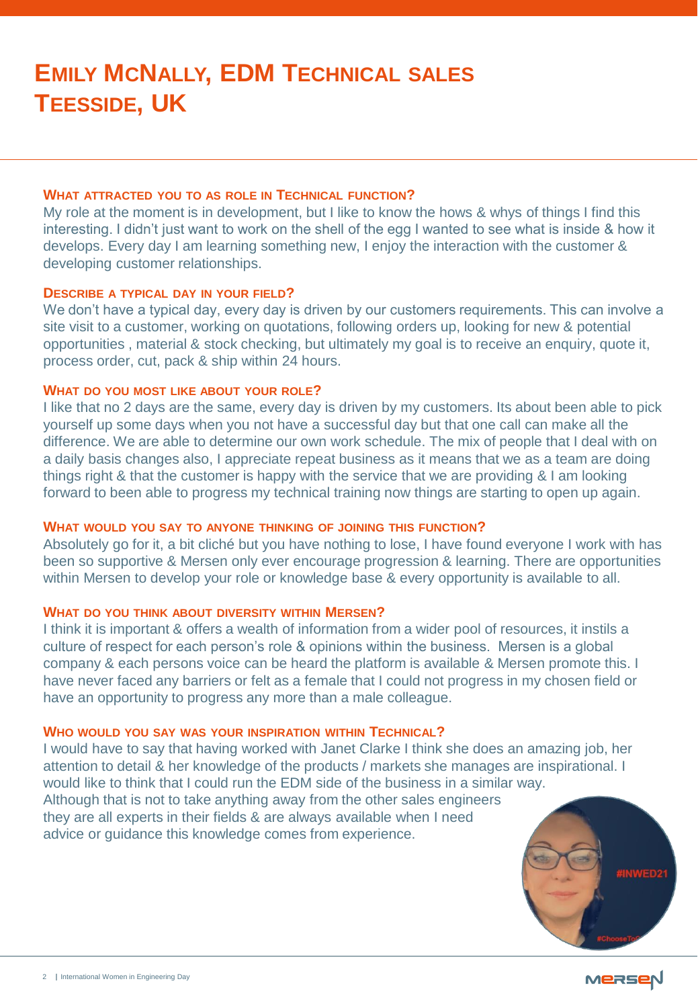#### **WHAT ATTRACTED YOU TO AS ROLE IN TECHNICAL FUNCTION?**

My role at the moment is in development, but I like to know the hows & whys of things I find this interesting. I didn't just want to work on the shell of the egg I wanted to see what is inside & how it develops. Every day I am learning something new, I enjoy the interaction with the customer & developing customer relationships.

# **DESCRIBE A TYPICAL DAY IN YOUR FIELD?**

We don't have a typical day, every day is driven by our customers requirements. This can involve a site visit to a customer, working on quotations, following orders up, looking for new & potential opportunities , material & stock checking, but ultimately my goal is to receive an enquiry, quote it, process order, cut, pack & ship within 24 hours.

## **WHAT DO YOU MOST LIKE ABOUT YOUR ROLE?**

I like that no 2 days are the same, every day is driven by my customers. Its about been able to pick yourself up some days when you not have a successful day but that one call can make all the difference. We are able to determine our own work schedule. The mix of people that I deal with on a daily basis changes also, I appreciate repeat business as it means that we as a team are doing things right & that the customer is happy with the service that we are providing & I am looking forward to been able to progress my technical training now things are starting to open up again.

## **WHAT WOULD YOU SAY TO ANYONE THINKING OF JOINING THIS FUNCTION?**

Absolutely go for it, a bit cliché but you have nothing to lose, I have found everyone I work with has been so supportive & Mersen only ever encourage progression & learning. There are opportunities within Mersen to develop your role or knowledge base & every opportunity is available to all.

#### **WHAT DO YOU THINK ABOUT DIVERSITY WITHIN MERSEN?**

I think it is important & offers a wealth of information from a wider pool of resources, it instils a culture of respect for each person's role & opinions within the business. Mersen is a global company & each persons voice can be heard the platform is available & Mersen promote this. I have never faced any barriers or felt as a female that I could not progress in my chosen field or have an opportunity to progress any more than a male colleague.

## **WHO WOULD YOU SAY WAS YOUR INSPIRATION WITHIN TECHNICAL?**

I would have to say that having worked with Janet Clarke I think she does an amazing job, her attention to detail & her knowledge of the products / markets she manages are inspirational. I would like to think that I could run the EDM side of the business in a similar way. Although that is not to take anything away from the other sales engineers they are all experts in their fields & are always available when I need advice or guidance this knowledge comes from experience.





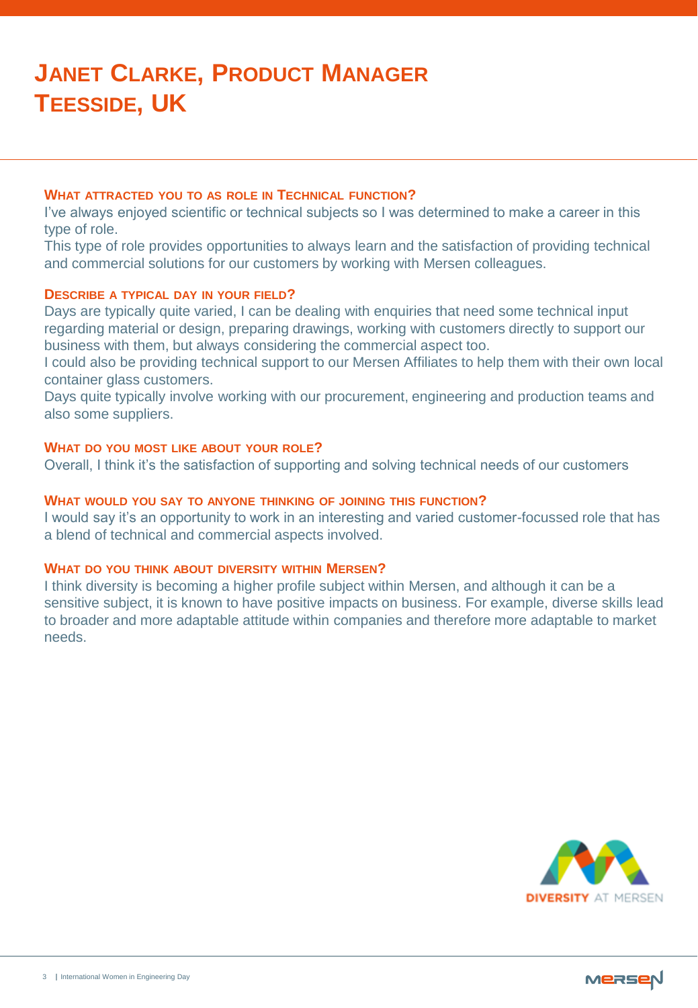# **JANET CLARKE, PRODUCT MANAGER TEESSIDE, UK**

## **WHAT ATTRACTED YOU TO AS ROLE IN TECHNICAL FUNCTION?**

I've always enjoyed scientific or technical subjects so I was determined to make a career in this type of role.

This type of role provides opportunities to always learn and the satisfaction of providing technical and commercial solutions for our customers by working with Mersen colleagues.

## **DESCRIBE A TYPICAL DAY IN YOUR FIELD?**

Days are typically quite varied, I can be dealing with enquiries that need some technical input regarding material or design, preparing drawings, working with customers directly to support our business with them, but always considering the commercial aspect too.

I could also be providing technical support to our Mersen Affiliates to help them with their own local container glass customers.

Days quite typically involve working with our procurement, engineering and production teams and also some suppliers.

# **WHAT DO YOU MOST LIKE ABOUT YOUR ROLE?**

Overall, I think it's the satisfaction of supporting and solving technical needs of our customers

# **WHAT WOULD YOU SAY TO ANYONE THINKING OF JOINING THIS FUNCTION?**

I would say it's an opportunity to work in an interesting and varied customer-focussed role that has a blend of technical and commercial aspects involved.

#### **WHAT DO YOU THINK ABOUT DIVERSITY WITHIN MERSEN?**

I think diversity is becoming a higher profile subject within Mersen, and although it can be a sensitive subject, it is known to have positive impacts on business. For example, diverse skills lead to broader and more adaptable attitude within companies and therefore more adaptable to market needs.



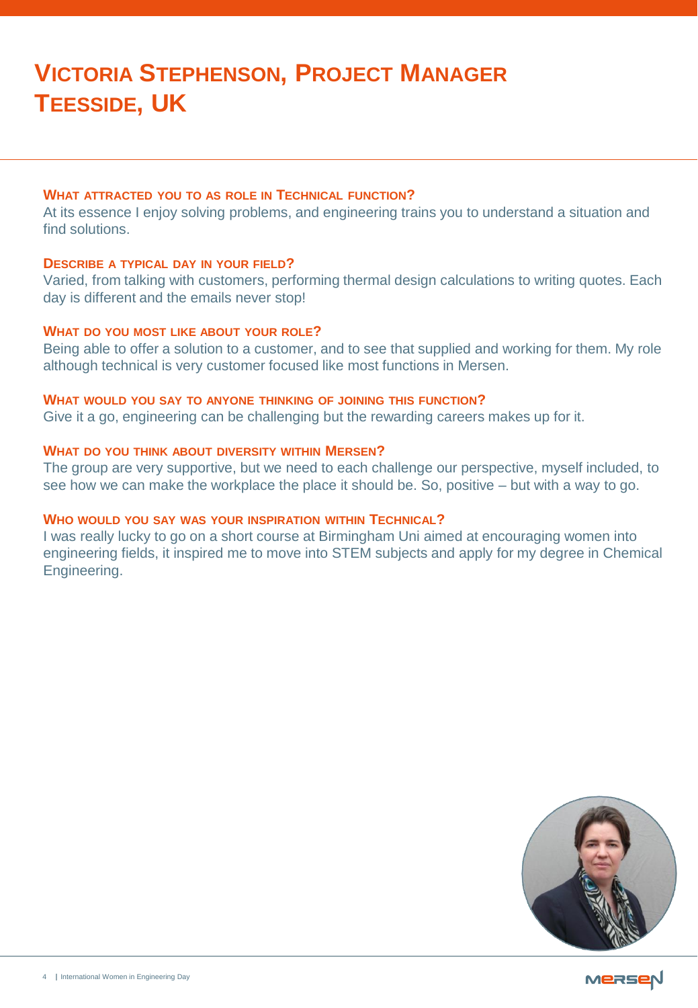## **WHAT ATTRACTED YOU TO AS ROLE IN TECHNICAL FUNCTION?**

At its essence I enjoy solving problems, and engineering trains you to understand a situation and find solutions.

## **DESCRIBE A TYPICAL DAY IN YOUR FIELD?**

Varied, from talking with customers, performing thermal design calculations to writing quotes. Each day is different and the emails never stop!

## **WHAT DO YOU MOST LIKE ABOUT YOUR ROLE?**

Being able to offer a solution to a customer, and to see that supplied and working for them. My role although technical is very customer focused like most functions in Mersen.

#### **WHAT WOULD YOU SAY TO ANYONE THINKING OF JOINING THIS FUNCTION?**

Give it a go, engineering can be challenging but the rewarding careers makes up for it.

# **WHAT DO YOU THINK ABOUT DIVERSITY WITHIN MERSEN?**

The group are very supportive, but we need to each challenge our perspective, myself included, to see how we can make the workplace the place it should be. So, positive – but with a way to go.

# **WHO WOULD YOU SAY WAS YOUR INSPIRATION WITHIN TECHNICAL?**

I was really lucky to go on a short course at Birmingham Uni aimed at encouraging women into engineering fields, it inspired me to move into STEM subjects and apply for my degree in Chemical Engineering.